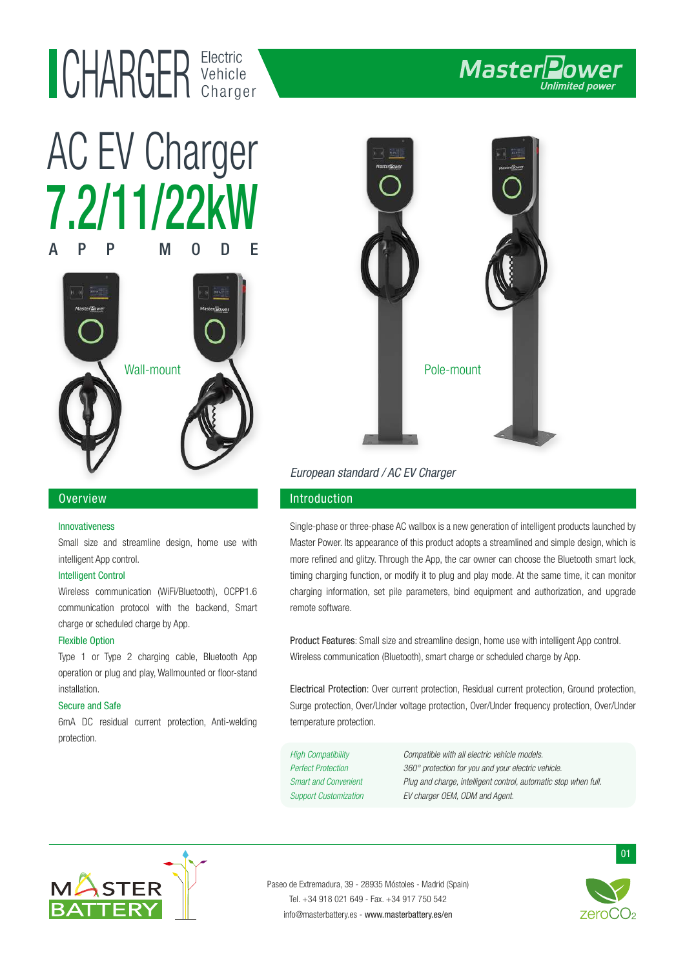# Electric UHAKUEK Vehicle



# 7.2/11/22kW APP MODE AC EV Charger



## Overview

#### Innovativeness

Small size and streamline design, home use with intelligent App control.

#### Intelligent Control

Wireless communication (WiFi/Bluetooth), OCPP1.6 communication protocol with the backend, Smart charge or scheduled charge by App.

#### Flexible Option

Type 1 or Type 2 charging cable, Bluetooth App operation or plug and play, Wallmounted or floor-stand installation.

#### Secure and Safe

6mA DC residual current protection, Anti-welding protection.



# European standard / AC EV Charger

## Introduction

Single-phase or three-phase AC wallbox is a new generation of intelligent products launched by Master Power. Its appearance of this product adopts a streamlined and simple design, which is more refined and glitzy. Through the App, the car owner can choose the Bluetooth smart lock, timing charging function, or modify it to plug and play mode. At the same time, it can monitor charging information, set pile parameters, bind equipment and authorization, and upgrade remote software.

Product Features: Small size and streamline design, home use with intelligent App control. Wireless communication (Bluetooth), smart charge or scheduled charge by App.

Electrical Protection: Over current protection, Residual current protection, Ground protection, Surge protection, Over/Under voltage protection, Over/Under frequency protection, Over/Under temperature protection.

High Compatibility Compatible with all electric vehicle models. Perfect Protection 360° protection for you and your electric vehicle. Smart and Convenient Plug and charge, intelligent control, automatic stop when full. Support Customization EV charger OEM, ODM and Agent.



Paseo de Extremadura, 39 - 28935 Móstoles - Madrid (Spain) Tel. +34 918 021 649 - Fax. +34 917 750 542 info@masterbattery.es - www.masterbattery.es/en



01